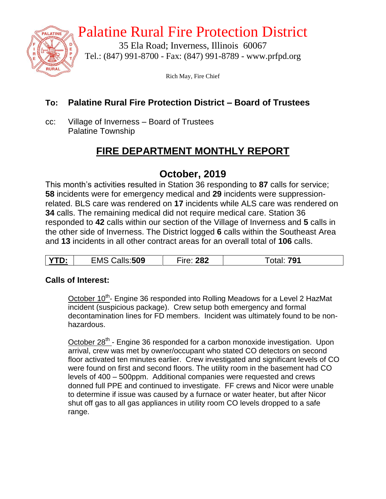

## Palatine Rural Fire Protection District

35 Ela Road; Inverness, Illinois 60067 Tel.: (847) 991-8700 - Fax: (847) 991-8789 - www.prfpd.org

Rich May, Fire Chief

#### **To: Palatine Rural Fire Protection District – Board of Trustees**

cc: Village of Inverness – Board of Trustees Palatine Township

## **FIRE DEPARTMENT MONTHLY REPORT**

## **October, 2019**

This month's activities resulted in Station 36 responding to **87** calls for service; **58** incidents were for emergency medical and **29** incidents were suppressionrelated. BLS care was rendered on **17** incidents while ALS care was rendered on **34** calls. The remaining medical did not require medical care. Station 36 responded to **42** calls within our section of the Village of Inverness and **5** calls in the other side of Inverness. The District logged **6** calls within the Southeast Area and **13** incidents in all other contract areas for an overall total of **106** calls.

| υ. | ∷509<br>$-$ n $-$<br>∠lV! | າວາ<br>$-$<br>.<br>.oz |  |
|----|---------------------------|------------------------|--|

#### **Calls of Interest:**

October 10<sup>th</sup>- Engine 36 responded into Rolling Meadows for a Level 2 HazMat incident (suspicious package). Crew setup both emergency and formal decontamination lines for FD members. Incident was ultimately found to be nonhazardous.

October 28<sup>th</sup> - Engine 36 responded for a carbon monoxide investigation. Upon arrival, crew was met by owner/occupant who stated CO detectors on second floor activated ten minutes earlier. Crew investigated and significant levels of CO were found on first and second floors. The utility room in the basement had CO levels of 400 – 500ppm. Additional companies were requested and crews donned full PPE and continued to investigate. FF crews and Nicor were unable to determine if issue was caused by a furnace or water heater, but after Nicor shut off gas to all gas appliances in utility room CO levels dropped to a safe range.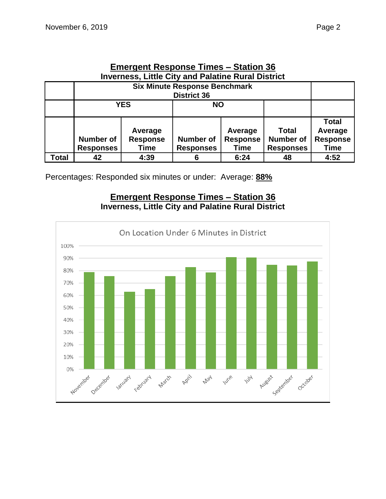|                                                           | Elliergeht Response Thiles – Station 30 |                 |                  |                 |                  |                 |  |  |  |
|-----------------------------------------------------------|-----------------------------------------|-----------------|------------------|-----------------|------------------|-----------------|--|--|--|
| <b>Inverness, Little City and Palatine Rural District</b> |                                         |                 |                  |                 |                  |                 |  |  |  |
|                                                           | <b>Six Minute Response Benchmark</b>    |                 |                  |                 |                  |                 |  |  |  |
|                                                           | <b>District 36</b>                      |                 |                  |                 |                  |                 |  |  |  |
|                                                           |                                         | <b>YES</b>      | <b>NO</b>        |                 |                  |                 |  |  |  |
|                                                           |                                         |                 |                  |                 |                  |                 |  |  |  |
|                                                           |                                         |                 |                  |                 |                  | <b>Total</b>    |  |  |  |
|                                                           |                                         | Average         |                  | Average         | Total            | Average         |  |  |  |
|                                                           | <b>Number of</b>                        | <b>Response</b> | <b>Number of</b> | <b>Response</b> | <b>Number of</b> | <b>Response</b> |  |  |  |
|                                                           | <b>Responses</b>                        | Time            | <b>Responses</b> | Time            | <b>Responses</b> | <b>Time</b>     |  |  |  |
| Total                                                     | 42                                      | 4:39            | 6                | 6:24            | 48               | 4:52            |  |  |  |

# **Emergent Response Times – Station 36**

Percentages: Responded six minutes or under: Average: **88%**

#### **Emergent Response Times – Station 36 Inverness, Little City and Palatine Rural District**

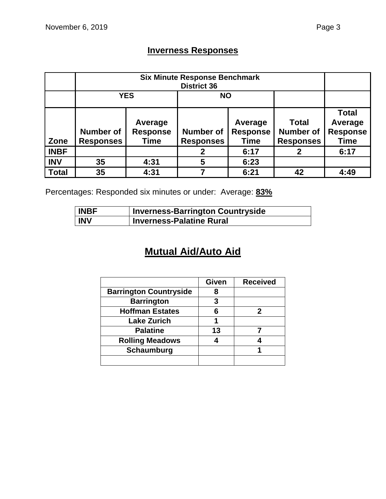## **Inverness Responses**

|              |                                      | <b>YES</b>                         | <b>NO</b>                            |                                           |                                                      |                                                           |
|--------------|--------------------------------------|------------------------------------|--------------------------------------|-------------------------------------------|------------------------------------------------------|-----------------------------------------------------------|
| Zone         | <b>Number of</b><br><b>Responses</b> | Average<br><b>Response</b><br>Time | <b>Number of</b><br><b>Responses</b> | Average<br><b>Response</b><br><b>Time</b> | <b>Total</b><br><b>Number of</b><br><b>Responses</b> | <b>Total</b><br>Average<br><b>Response</b><br><b>Time</b> |
| <b>INBF</b>  |                                      |                                    | 2                                    | 6:17                                      | 2                                                    | 6:17                                                      |
| <b>INV</b>   | 35                                   | 4:31                               | 5                                    | 6:23                                      |                                                      |                                                           |
| <b>Total</b> | 35                                   | 4:31                               |                                      | 6:21                                      | 42                                                   | 4:49                                                      |

Percentages: Responded six minutes or under: Average: **83%**

| <b>INBF</b> | <b>Inverness-Barrington Countryside</b> |
|-------------|-----------------------------------------|
| <b>INV</b>  | <b>Inverness-Palatine Rural</b>         |

## **Mutual Aid/Auto Aid**

|                               | Given | <b>Received</b> |
|-------------------------------|-------|-----------------|
| <b>Barrington Countryside</b> | 8     |                 |
| <b>Barrington</b>             | 3     |                 |
| <b>Hoffman Estates</b>        | 6     | 2               |
| <b>Lake Zurich</b>            |       |                 |
| <b>Palatine</b>               | 13    |                 |
| <b>Rolling Meadows</b>        |       |                 |
| Schaumburg                    |       |                 |
|                               |       |                 |